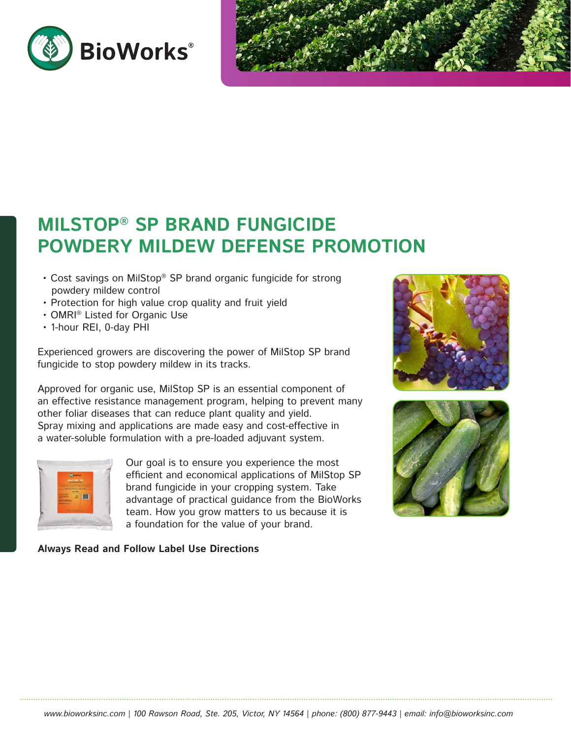



# **MILSTOP® SP BRAND FUNGICIDE POWDERY MILDEW DEFENSE PROMOTION**

- Cost savings on MilStop® SP brand organic fungicide for strong powdery mildew control
- Protection for high value crop quality and fruit yield
- OMRI® Listed for Organic Use
- 1-hour REI, 0-day PHI

Experienced growers are discovering the power of MilStop SP brand fungicide to stop powdery mildew in its tracks.

Approved for organic use, MilStop SP is an essential component of an effective resistance management program, helping to prevent many other foliar diseases that can reduce plant quality and yield. Spray mixing and applications are made easy and cost-effective in a water-soluble formulation with a pre-loaded adjuvant system.



Our goal is to ensure you experience the most efficient and economical applications of MilStop SP brand fungicide in your cropping system. Take advantage of practical guidance from the BioWorks team. How you grow matters to us because it is a foundation for the value of your brand.

**Always Read and Follow Label Use Directions**